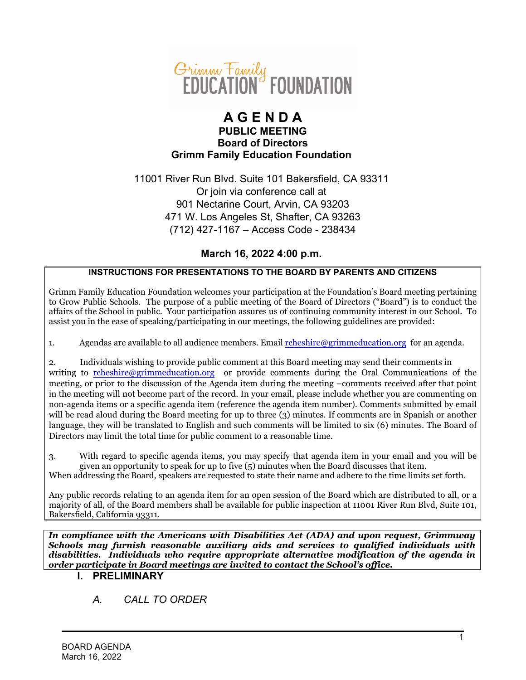

## **A G E N D A PUBLIC MEETING Board of Directors Grimm Family Education Foundation**

11001 River Run Blvd. Suite 101 Bakersfield, CA 93311 Or join via conference call at 901 Nectarine Court, Arvin, CA 93203 471 W. Los Angeles St, Shafter, CA 93263 (712) 427-1167 – Access Code - 238434

## **March 16, 2022 4:00 p.m.**

### **INSTRUCTIONS FOR PRESENTATIONS TO THE BOARD BY PARENTS AND CITIZENS**

Grimm Family Education Foundation welcomes your participation at the Foundation's Board meeting pertaining to Grow Public Schools. The purpose of a public meeting of the Board of Directors ("Board") is to conduct the affairs of the School in public. Your participation assures us of continuing community interest in our School. To assist you in the ease of speaking/participating in our meetings, the following guidelines are provided:

1. Agendas are available to all audience members. Email  $\text{remskine}(\mathcal{Q}(\text{grimmeduction.org})$  for an agenda.

2. Individuals wishing to provide public comment at this Board meeting may send their comments in writing to [rcheshire@grimmeducation.org](mailto:rcheshire@grimmeducation.org) or provide comments during the Oral Communications of the meeting, or prior to the discussion of the Agenda item during the meeting –comments received after that point in the meeting will not become part of the record. In your email, please include whether you are commenting on non-agenda items or a specific agenda item (reference the agenda item number). Comments submitted by email will be read aloud during the Board meeting for up to three (3) minutes. If comments are in Spanish or another language, they will be translated to English and such comments will be limited to six (6) minutes. The Board of Directors may limit the total time for public comment to a reasonable time.

3. With regard to specific agenda items, you may specify that agenda item in your email and you will be given an opportunity to speak for up to five (5) minutes when the Board discusses that item. When addressing the Board, speakers are requested to state their name and adhere to the time limits set forth.

Any public records relating to an agenda item for an open session of the Board which are distributed to all, or a majority of all, of the Board members shall be available for public inspection at 11001 River Run Blvd, Suite 101, Bakersfield, California 93311.

*In compliance with the Americans with Disabilities Act (ADA) and upon request, Grimmway Schools may furnish reasonable auxiliary aids and services to qualified individuals with disabilities. Individuals who require appropriate alternative modification of the agenda in order participate in Board meetings are invited to contact the School's office.*

## **I. PRELIMINARY**

# *A. CALL TO ORDER*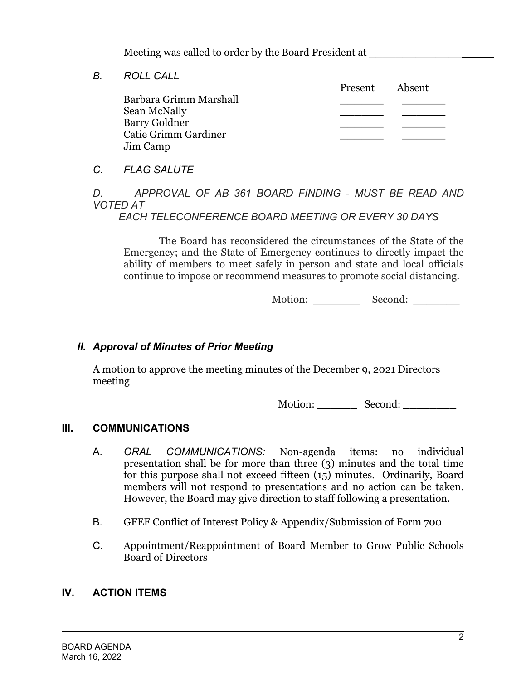Meeting was called to order by the Board President at

*B. ROLL CALL* Present Absent Barbara Grimm Marshall **\_\_\_\_\_\_ \_\_\_\_\_\_** Sean McNally **\_\_\_\_\_\_ \_\_\_\_\_\_** Barry Goldner **\_\_\_\_\_\_ \_\_\_\_\_\_** Catie Grimm Gardiner **\_\_\_\_\_\_ \_\_\_\_\_\_** Jim Camp \_\_\_\_\_\_\_ \_\_\_\_\_\_\_

*C. FLAG SALUTE*

 $\overline{a}$ 

*D. APPROVAL OF AB 361 BOARD FINDING - MUST BE READ AND VOTED AT* 

 *EACH TELECONFERENCE BOARD MEETING OR EVERY 30 DAYS*

The Board has reconsidered the circumstances of the State of the Emergency; and the State of Emergency continues to directly impact the ability of members to meet safely in person and state and local officials continue to impose or recommend measures to promote social distancing.

Motion: \_\_\_\_\_\_\_\_\_\_ Second: \_\_\_\_\_\_\_\_

# *II. Approval of Minutes of Prior Meeting*

A motion to approve the meeting minutes of the December 9, 2021 Directors meeting

Motion: Second:

## **III. COMMUNICATIONS**

- A. *ORAL COMMUNICATIONS:* Non-agenda items: no individual presentation shall be for more than three (3) minutes and the total time for this purpose shall not exceed fifteen (15) minutes. Ordinarily, Board members will not respond to presentations and no action can be taken. However, the Board may give direction to staff following a presentation.
- B. GFEF Conflict of Interest Policy & Appendix/Submission of Form 700
- C. Appointment/Reappointment of Board Member to Grow Public Schools Board of Directors

## **IV. ACTION ITEMS**